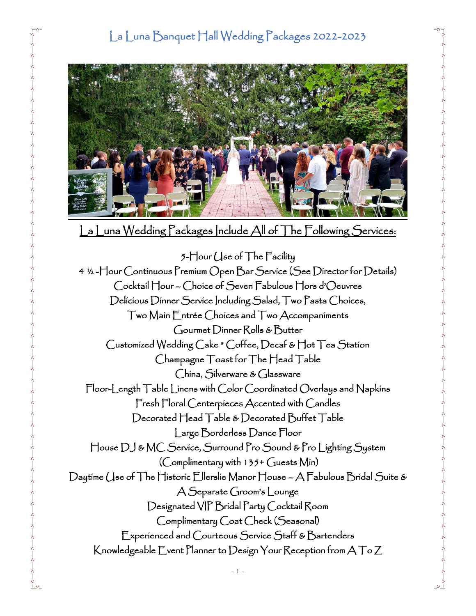

La Luna Wedding Packages Include All of The Following Services:

5-Hour Use of The Facility 4 ½ -Hour Continuous Premium Open Bar Service (See Director for Details) Cocktail Hour – Choice of Seven Fabulous Hors d'Oeuvres Delicious Dinner Service Including Salad, Two Pasta Choices, Two Main Entrée Choices and Two Accompaniments Gourmet Dinner Rolls & Butter Customized Wedding Cake \* Coffee, Decaf & Hot Tea Station Champagne Toast for The Head Table China, Silverware & Glassware Floor-Length Table Linens with Color Coordinated Overlays and Napkins Fresh Floral Centerpieces Accented with Candles Decorated Head Table & Decorated Buffet Table Large Borderless Dance Floor House DJ & MC Service, Surround Pro Sound & Pro Lighting System (Complimentary with 135+ Guests Min) Daytime Use of The Historic Ellerslie Manor House – A Fabulous Bridal Suite & A Separate Groom's Lounge Designated VIP Bridal Party Cocktail Room Complimentary Coat Check (Seasonal) Experienced and Courteous Service Staff & Bartenders Knowledgeable Event Planner to Design Your Reception from A To Z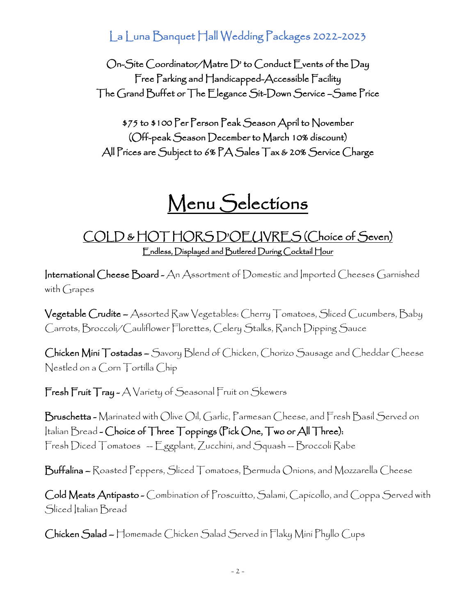On-Site Coordinator/Matre D' to Conduct Events of the Day Free Parking and Handicapped-Accessible Facility The Grand Buffet or The Elegance Sit-Down Service –Same Price

\$75 to \$100 Per Person Peak Season April to November (Off-peak Season December to March 10% discount) All Prices are Subject to 6% PA Sales Tax & 20% Service Charge

# Menu Selections

### COLD & HOT HORS D'OEUVRES (Choice of Seven) Endless, Displayed and Butlered During Cocktail Hour

International Cheese Board - An Assortment of Domestic and Imported Cheeses Garnished with Grapes

Vegetable Crudite – Assorted Raw Vegetables: Cherry Tomatoes, Sliced Cucumbers, Baby Carrots, Broccoli/Cauliflower Florettes, Celery Stalks, Ranch Dipping Sauce

Chicken Mini Tostadas – Savory Blend of Chicken, Chorizo Sausage and Cheddar Cheese Nestled on a Corn Tortilla Chip

Fresh Fruit Tray - A Variety of Seasonal Fruit on Skewers

 $\mathsf B$ ruschetta – Marínated with Olive Oil, Garlic, Parmesan Cheese, and Fresh Basil Served on Italian Bread - Choice of Three Toppings (Pick One, Two or All Three): Fresh Diced Tomatoes -- Eggplant, Zucchini, and Squash -- Broccoli Rabe

Buffalina – Roasted Peppers, Sliced Tomatoes, Bermuda Onions, and Mozzarella Cheese

Cold Meats Antipasto - Combination of Proscuitto, Salami, Capicollo, and Coppa Served with Sliced Italian Bread

Chicken Salad – Homemade Chicken Salad Served in Flaky Mini Phyllo Cups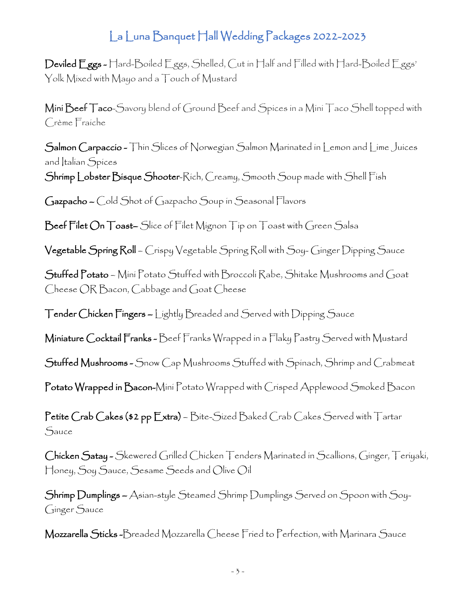Deviled Eggs - Hard-Boiled Eggs, Shelled, Cut in Half and Filled with Hard-Boiled Eggs' Yolk Mixed with Mayo and a Touch of Mustard

Mini Beef Taco-Savory blend of Ground Beef and Spices in a Mini Taco Shell topped with Crème Fraiche

Salmon Carpaccio - Thin Slices of Norwegian Salmon Marinated in Lemon and Lime Juices and Italian Spices

Shrimp Lobster Bisque Shooter-Rich, Creamy, Smooth Soup made with Shell Fish

Gazpacho – Cold Shot of Gazpacho Soup in Seasonal Flavors

Beef Filet On Toast– Slice of Filet Mignon Tip on Toast with Green Salsa

Vegetable Spring Roll – Crispy Vegetable Spring Roll with Soy- Ginger Dipping Sauce

Stuffed Potato – Mini Potato Stuffed with Broccoli Rabe, Shitake Mushrooms and Goat Cheese OR Bacon, Cabbage and Goat Cheese

Tender Chicken Fingers – Lightly Breaded and Served with Dipping Sauce

Miniature Cocktail Franks - Beef Franks Wrapped in a Flaky Pastry Served with Mustard

Stuffed Mushrooms - Snow Cap Mushrooms Stuffed with Spinach, Shrimp and Crabmeat

Potato Wrapped in Bacon-Mini Potato Wrapped with Crisped Applewood Smoked Bacon

Petite Crab Cakes (\$2 pp Extra) – Bite-Sized Baked Crab Cakes Served with Tartar Sauce

Chicken Satay - Skewered Grilled Chicken Tenders Marinated in Scallions, Ginger, Teriyaki, Honey, Soy Sauce, Sesame Seeds and Olive Oil

Shrimp Dumplings – Asian-style Steamed Shrimp Dumplings Served on Spoon with Soy-Ginger Sauce

Mozzarella Sticks -Breaded Mozzarella Cheese Fried to Perfection, with Marinara Sauce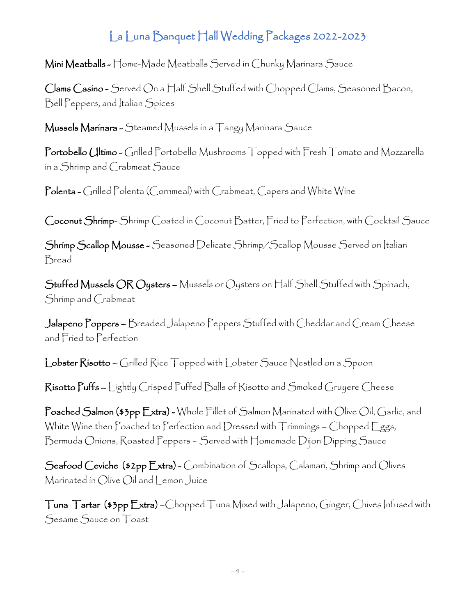Mini Meatballs - Home-Made Meatballs Served in Chunky Marinara Sauce

Clams Casino - Served On a Half Shell Stuffed with Chopped Clams, Seasoned Bacon, Bell Peppers, and Italian Spices

Mussels Marinara - Steamed Mussels in a Tangy Marinara Sauce

Portobello (Iltimo - Grilled Portobello Mushrooms Topped with Fresh Tomato and Mozzarella in a Shrimp and Crabmeat Sauce

Polenta - Grilled Polenta (Cornmeal) with Crabmeat, Capers and White Wine

Coconut Shrimp- Shrimp Coated in Coconut Batter, Fried to Perfection, with Cocktail Sauce

Shrimp Scallop Mousse - Seasoned Delicate Shrimp/Scallop Mousse Served on Italian Bread

Stuffed Mussels OR Oysters – Mussels or Oysters on Half Shell Stuffed with Spinach, Shrimp and Crabmeat

Jalapeno Poppers – Breaded Jalapeno Peppers Stuffed with Cheddar and Cream Cheese and Fried to Perfection

Lobster Risotto – Grilled Rice Topped with Lobster Sauce Nestled on a Spoon

Risotto Puffs – Lightly Crisped Puffed Balls of Risotto and Smoked Gruyere Cheese

Poached Salmon (\$3pp Extra) - Whole Fillet of Salmon Marinated with Olive Oil, Garlic, and White Wine then Poached to Perfection and Dressed with Trimmings - Chopped Eggs, Bermuda Onions, Roasted Peppers – Served with Homemade Dijon Dipping Sauce

Seafood Ceviche (\$2pp Extra) - Combination of Scallops, Calamari, Shrimp and Olives Marinated in Olive Oil and Lemon Juice

Tuna Tartar (\$3pp Extra) –Chopped Tuna Mixed with Jalapeno, Ginger, Chives Infused with Sesame Sauce on Toast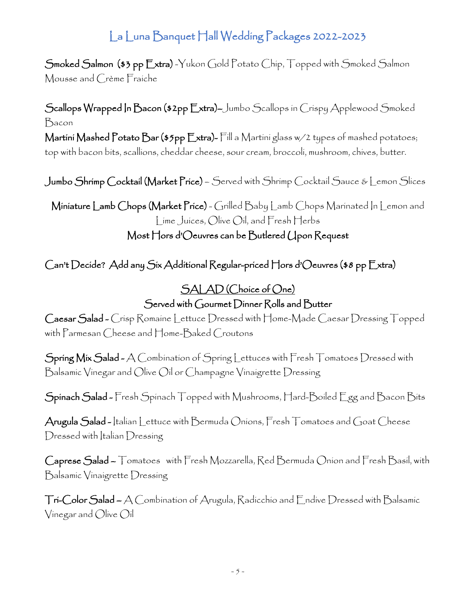Smoked Salmon (\$3 pp Extra) -Yukon Gold Potato Chip, Topped with Smoked Salmon Mousse and Crème Fraiche

Scallops Wrapped In Bacon (\$2pp Extra)–Jumbo Scallops in Crispy Applewood Smoked Bacon Martini Mashed Potato Bar (\$5pp Extra)- Fill a Martini glass w/2 types of mashed potatoes; top with bacon bits, scallions, cheddar cheese, sour cream, broccoli, mushroom, chives, butter.

Jumbo Shrimp Cocktail (Market Price) – Served with Shrimp Cocktail Sauce & Lemon Slices

Miniature Lamb Chops (Market Price) - Grilled Baby Lamb Chops Marinated In Lemon and Lime Juices, Olive Oil, and Fresh Herbs Most Hors d'Oeuvres can be Butlered Upon Request

Can't Decide? Add any Six Additional Regular-priced Hors d'Oeuvres (\$8 pp Extra)

### SALAD (Choice of One) Served with Gourmet Dinner Rolls and Butter

Caesar Salad - Crisp Romaine Lettuce Dressed with Home-Made Caesar Dressing Topped with Parmesan Cheese and Home-Baked Croutons

Spring Mix Salad - A Combination of Spring Lettuces with Fresh Tomatoes Dressed with Balsamic Vinegar and Olive Oil or Champagne Vinaigrette Dressing

Spinach Salad - Fresh Spinach Topped with Mushrooms, Hard-Boiled Egg and Bacon Bits

Arugula Salad - Italian Lettuce with Bermuda Onions, Fresh Tomatoes and Goat Cheese Dressed with Italian Dressing

Caprese Salad – Tomatoes with Fresh Mozzarella, Red Bermuda Onion and Fresh Basil, with Balsamic Vinaigrette Dressing

Tri-Color Salad – A Combination of Arugula, Radicchio and Endive Dressed with Balsamic Vinegar and Olive Oil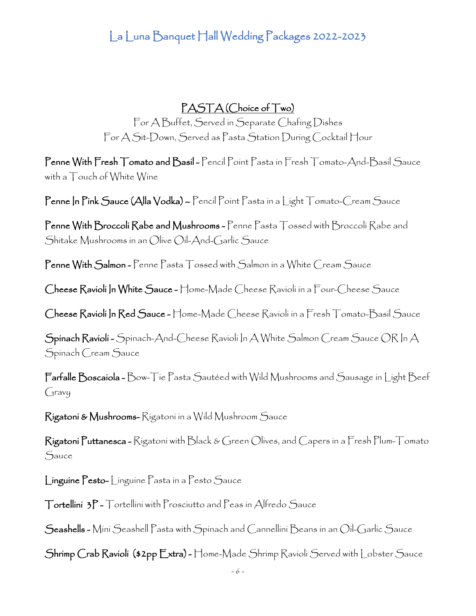#### PASTA (Choice of Two)

For A Buffet, Served in Separate Chafing Dishes For A Sit-Down, Served as Pasta Station During Cocktail Hour

Penne With Fresh Tomato and Basil - Pencil Point Pasta in Fresh Tomato-And-Basil Sauce with a Touch of White Wine

Penne In Pink Sauce (Alla Vodka) – Pencil Point Pasta in a Light Tomato-Cream Sauce

Penne With Broccoli Rabe and Mushrooms - Penne Pasta Tossed with Broccoli Rabe and Shitake Mushrooms in an Olive Oil-And-Garlic Sauce

Penne With Salmon - Penne Pasta Tossed with Salmon in a White Cream Sauce

Cheese Ravioli In White Sauce - Home-Made Cheese Ravioli in a Four-Cheese Sauce

Cheese Ravioli In Red Sauce - Home-Made Cheese Ravioli in a Fresh Tomato-Basil Sauce

Spinach Ravioli - Spinach-And-Cheese Ravioli In A White Salmon Cream Sauce OR In A Spinach Cream Sauce

Farfalle Boscaiola - Bow-Tie Pasta Sautéed with Wild Mushrooms and Sausage in Light Beef Gravy

Rigatoni & Mushrooms- Rigatoni in a Wild Mushroom Sauce

Rigatoni Puttanesca - Rigatoni with Black & Green Olives, and Capers in a Fresh Plum-Tomato Sauce

Linguine Pesto- Linguine Pasta in a Pesto Sauce

Tortellini 3P - Tortellini with Prosciutto and Peas in Alfredo Sauce

Seashells - Mini Seashell Pasta with Spinach and Cannellini Beans in an Oil-Garlic Sauce

Shrimp Crab Ravioli (\$2pp Extra) - Home-Made Shrimp Ravioli Served with Lobster Sauce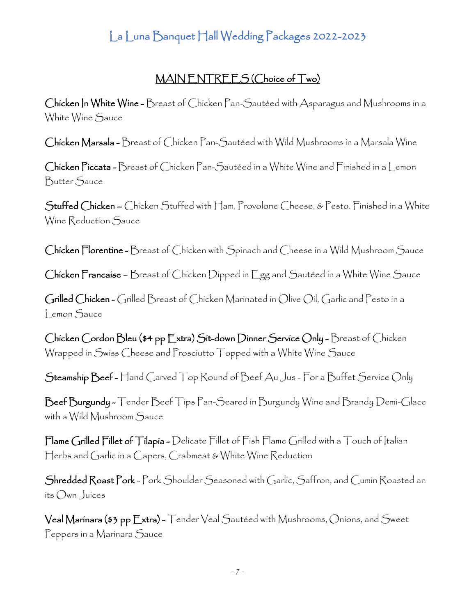#### MAIN ENTREES (Choice of Two)

Chicken In White Wine - Breast of Chicken Pan-Sautéed with Asparagus and Mushrooms in a White Wine Sauce

Chicken Marsala - Breast of Chicken Pan-Sautéed with Wild Mushrooms in a Marsala Wine

Chicken Piccata - Breast of Chicken Pan-Sautéed in a White Wine and Finished in a Lemon Butter Sauce

Stuffed Chicken – Chicken Stuffed with Ham, Provolone Cheese, & Pesto. Finished in a White Wine Reduction Sauce

Chicken Florentine - Breast of Chicken with Spinach and Cheese in a Wild Mushroom Sauce

Chicken Francaise – Breast of Chicken Dipped in Egg and Sautéed in a White Wine Sauce

Grilled Chicken - Grilled Breast of Chicken Marinated in Olive Oil, Garlic and Pesto in a Lemon Sauce

Chicken Cordon Bleu (\$4 pp Extra) Sit-down Dinner Service Only - Breast of Chicken Wrapped in Swiss Cheese and Prosciutto Topped with a White Wine Sauce

Steamship Beef - Hand Carved Top Round of Beef Au Jus - For a Buffet Service Only

Beef Burgundy - Tender Beef Tips Pan-Seared in Burgundy Wine and Brandy Demi-Glace with a Wild Mushroom Sauce

Flame Grilled Fillet of Tilapia - Delicate Fillet of Fish Flame Grilled with a Touch of Italian Herbs and Garlic in a Capers, Crabmeat & White Wine Reduction

Shredded Roast Pork - Pork Shoulder Seasoned with Garlic, Saffron, and Cumin Roasted an its Own Juices

Veal Marinara (\$3 pp Extra) - Tender Veal Sautéed with Mushrooms, Onions, and Sweet Peppers in a Marinara Sauce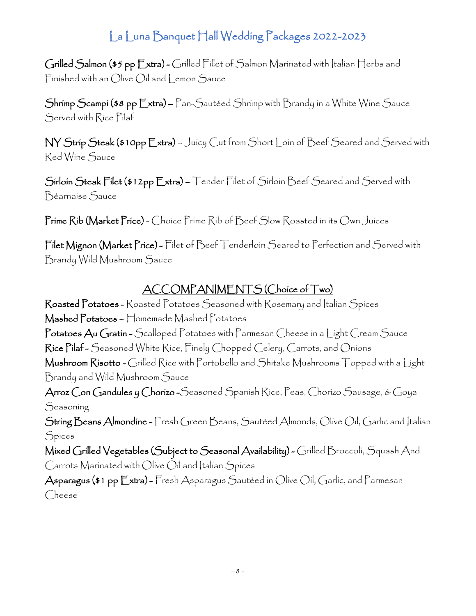Grilled Salmon (\$5 pp Extra) - Grilled Fillet of Salmon Marinated with Italian Herbs and Finished with an Olive Oil and Lemon Sauce

Shrimp Scampi (\$8 pp Extra) – Pan-Sautéed Shrimp with Brandy in a White Wine Sauce Served with Rice Pilaf

NY Strip Steak (\$10pp Extra) – Juicy Cut from Short Loin of Beef Seared and Served with Red Wine Sauce

Sirloin Steak Filet (\$12pp Extra) – Tender Filet of Sirloin Beef Seared and Served with Béarnaise Sauce

Prime Rib (Market Price) - Choice Prime Rib of Beef Slow Roasted in its Own Juices

Filet Mignon (Market Price) - Filet of Beef Tenderloin Seared to Perfection and Served with Brandy Wild Mushroom Sauce

### ACCOMPANIMENTS (Choice of Two)

Roasted Potatoes - Roasted Potatoes Seasoned with Rosemary and Italian Spices Mashed Potatoes – Homemade Mashed Potatoes Potatoes Au Gratin - Scalloped Potatoes with Parmesan Cheese in a Light Cream Sauce Rice Pilaf - Seasoned White Rice, Finely Chopped Celery, Carrots, and Onions Mushroom Risotto - Grilled Rice with Portobello and Shitake Mushrooms Topped with a Light Brandy and Wild Mushroom Sauce Arroz Con Gandules y Chorizo - Seasoned Spanish Rice, Peas, Chorizo Sausage, & Goya **Seasoning** String Beans Almondine - Fresh Green Beans, Sautéed Almonds, Olive Oil, Garlic and Italian Spices Mixed Grilled Vegetables (Subject to Seasonal Availability) - Grilled Broccoli, Squash And Carrots Marinated with Olive Oil and Italian Spices Asparagus (\$1 pp Extra) - Fresh Asparagus Sautéed in Olive Oil, Garlic, and Parmesan

Cheese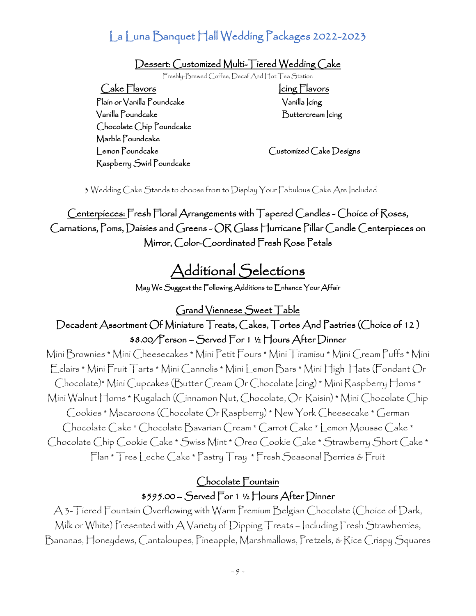Dessert: Customized Multi-Tiered Wedding Cake

Freshly-Brewed Coffee, Decaf And Hot Tea Station

Cake Flavors Cake Flavors Plain or Vanilla Poundcake Vanilla Icing Vanilla Poundcake Buttercream Icing Chocolate Chip Poundcake Marble Poundcake Lemon Poundcake Customized Cake Designs Raspberry Swirl Poundcake

3 Wedding Cake Stands to choose from to Display Your Fabulous Cake Are Included

Centerpieces: Fresh Floral Arrangements with Tapered Candles - Choice of Roses, Carnations, Poms, Daisies and Greens - OR Glass Hurricane Pillar Candle Centerpieces on Mirror, Color-Coordinated Fresh Rose Petals

# Additional Selections

May We Suggest the Following Additions to Enhance Your Affair

Grand Viennese Sweet Table

#### Decadent Assortment Of Miniature Treats, Cakes, Tortes And Pastries (Choice of 12 ) \$8.00/Person – Served For 1 ½ Hours After Dinner

Mini Brownies \* Mini Cheesecakes \* Mini Petit Fours \* Mini Tiramisu \* Mini Cream Puffs \* Mini Eclairs \* Mini Fruit Tarts \* Mini Cannolis \* Mini Lemon Bars \* Mini High Hats (Fondant Or Chocolate)\* Mini Cupcakes (Butter Cream Or Chocolate Icing) \* Mini Raspberry Horns \* Mini Walnut Horns \* Rugalach (Cinnamon Nut, Chocolate, Or Raisin) \* Mini Chocolate Chip Cookies \* Macaroons (Chocolate Or Raspberry) \* New York Cheesecake \* German Chocolate Cake \* Chocolate Bavarian Cream \* Carrot Cake \* Lemon Mousse Cake \* Chocolate Chip Cookie Cake \* Swiss Mint \* Oreo Cookie Cake \* Strawberry Short Cake \* Flan \* Tres Leche Cake \* Pastry Tray \* Fresh Seasonal Berries & Fruit

#### Chocolate Fountain \$595.00 – Served For 1 ½ Hours After Dinner

A 3-Tiered Fountain Overflowing with Warm Premium Belgian Chocolate (Choice of Dark, Milk or White) Presented with A Variety of Dipping Treats – Including Fresh Strawberries, Bananas, Honeydews, Cantaloupes, Pineapple, Marshmallows, Pretzels, & Rice Crispy Squares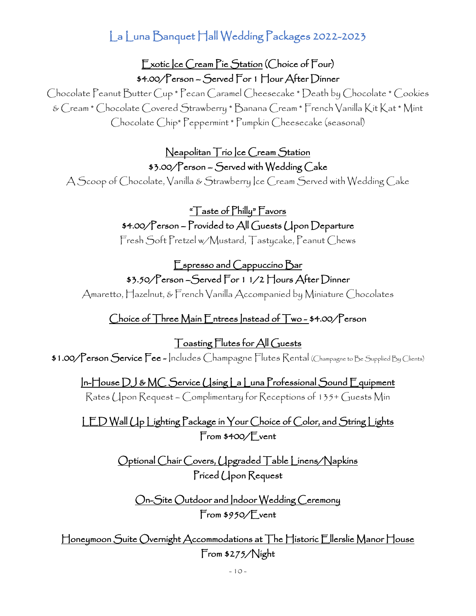Exotic Ice Cream Pie Station (Choice of Four) \$4.00/Person – Served For 1 Hour After Dinner

Chocolate Peanut Butter Cup \* Pecan Caramel Cheesecake \* Death by Chocolate \* Cookies & Cream \* Chocolate Covered Strawberry \* Banana Cream \* French Vanilla Kit Kat \* Mint Chocolate Chip\* Peppermint \* Pumpkin Cheesecake (seasonal)

#### Neapolitan Trio Ice Cream Station \$3.00/Person – Served with Wedding Cake

A Scoop of Chocolate, Vanilla & Strawberry Ice Cream Served with Wedding Cake

"Taste of Philly" Favors \$4.00/Person – Provided to All Guests Upon Departure

Fresh Soft Pretzel w/Mustard, Tastycake, Peanut Chews

### Espresso and Cappuccino Bar \$3.50/Person - Served For 1 1/2 Hours After Dinner

Amaretto, Hazelnut, & French Vanilla Accompanied by Miniature Chocolates

### Choice of Three Main Entrees Instead of Two - \$4.00/Person

Toasting Flutes for All Guests \$1.00/Person Service Fee - Includes Champagne Flutes Rental (Champagne to Be Supplied By Clients)

#### In-House DJ & MC Service Using La Luna Professional Sound Equipment

Rates Upon Request – Complimentary for Receptions of 135+ Guests Min

LED Wall Up Lighting Package in Your Choice of Color, and String Lights From \$400/Event

> Optional Chair Covers, Upgraded Table Linens/Napkins Priced Upon Request

On-Site Outdoor and Indoor Wedding Ceremony From \$950/Event

Honeymoon Suite Overnight Accommodations at The Historic Ellerslie Manor House From \$275/Night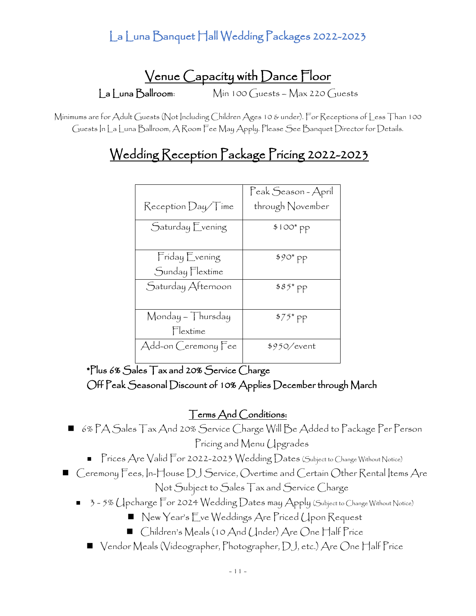# Venue Capacity with Dance Floor La Luna Ballroom: Min 100 Guests – Max 220 Guests

Minimums are for Adult Guests (Not Including Children Ages 10 & under). For Receptions of Less Than 100 Guests In La Luna Ballroom, A Room Fee May Apply. Please See Banquet Director for Details.

# Wedding Reception Package Pricing 2022-2023

|                              | Peak Season - April |
|------------------------------|---------------------|
| $\mathsf{ReceptionDay}$ Time | through November    |
| Saturday Evening             | \$100* pp           |
| Friday Evening               | $$90^{\circ}$ pp    |
| Sunday Flextime              |                     |
| Saturday Afternoon           | $$85^*$ PP          |
| Monday – Thursday            | $$75^{\ast}$ pp$    |
| Flextime                     |                     |
| Add-on Ceremony Fee          | \$950/event         |

\*Plus 6% Sales Tax and 20% Service Charge Off Peak Seasonal Discount of 10% Applies December through March

#### Terms And Conditions:

- 6% PA Sales Tax And 20% Service Charge Will Be Added to Package Per Person Pricing and Menu Upgrades
	- Prices Are Valid For 2022-2023 Wedding Dates (Subject to Change Without Notice)
- Ceremony Fees, In-House DJ Service, Overtime and Certain Other Rental Items Are Not Subject to Sales Tax and Service Charge
	- 3-5% Upcharge For 2024 Wedding Dates may Apply (Subject to Change Without Notice)
		- New Year's Eve Weddings Are Priced Upon Request
		- Children's Meals (10 And (Jnder) Are One Half Price
		- Vendor Meals (Videographer, Photographer, DJ, etc.) Are One Half Price